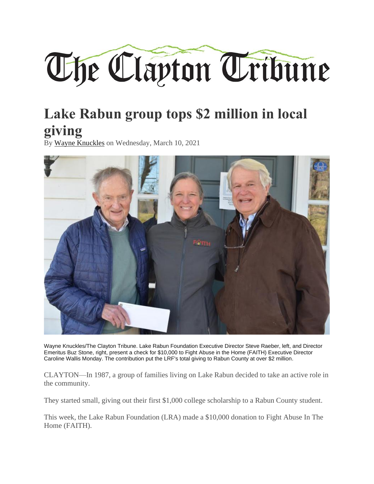

## **Lake Rabun group tops \$2 million in local giving**

By [Wayne Knuckles](https://www.theclaytontribune.com/user/75) on Wednesday, March 10, 2021



Wayne Knuckles/The Clayton Tribune. Lake Rabun Foundation Executive Director Steve Raeber, left, and Director Emeritus Buz Stone, right, present a check for \$10,000 to Fight Abuse in the Home (FAITH) Executive Director Caroline Wallis Monday. The contribution put the LRF's total giving to Rabun County at over \$2 million.

CLAYTON—In 1987, a group of families living on Lake Rabun decided to take an active role in the community.

They started small, giving out their first \$1,000 college scholarship to a Rabun County student.

This week, the Lake Rabun Foundation (LRA) made a \$10,000 donation to Fight Abuse In The Home (FAITH).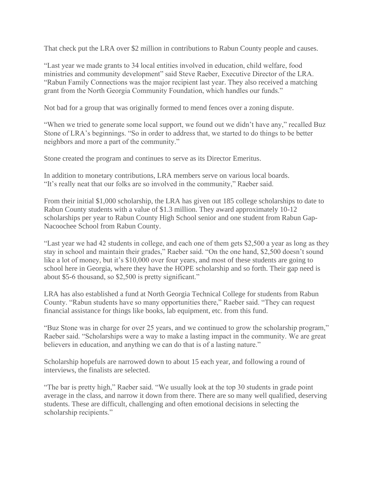That check put the LRA over \$2 million in contributions to Rabun County people and causes.

"Last year we made grants to 34 local entities involved in education, child welfare, food ministries and community development" said Steve Raeber, Executive Director of the LRA. "Rabun Family Connections was the major recipient last year. They also received a matching grant from the North Georgia Community Foundation, which handles our funds."

Not bad for a group that was originally formed to mend fences over a zoning dispute.

"When we tried to generate some local support, we found out we didn't have any," recalled Buz Stone of LRA's beginnings. "So in order to address that, we started to do things to be better neighbors and more a part of the community."

Stone created the program and continues to serve as its Director Emeritus.

In addition to monetary contributions, LRA members serve on various local boards. "It's really neat that our folks are so involved in the community," Raeber said.

From their initial \$1,000 scholarship, the LRA has given out 185 college scholarships to date to Rabun County students with a value of \$1.3 million. They award approximately 10-12 scholarships per year to Rabun County High School senior and one student from Rabun Gap-Nacoochee School from Rabun County.

"Last year we had 42 students in college, and each one of them gets \$2,500 a year as long as they stay in school and maintain their grades," Raeber said. "On the one hand, \$2,500 doesn't sound like a lot of money, but it's \$10,000 over four years, and most of these students are going to school here in Georgia, where they have the HOPE scholarship and so forth. Their gap need is about \$5-6 thousand, so \$2,500 is pretty significant."

LRA has also established a fund at North Georgia Technical College for students from Rabun County. "Rabun students have so many opportunities there," Raeber said. "They can request financial assistance for things like books, lab equipment, etc. from this fund.

"Buz Stone was in charge for over 25 years, and we continued to grow the scholarship program," Raeber said. "Scholarships were a way to make a lasting impact in the community. We are great believers in education, and anything we can do that is of a lasting nature."

Scholarship hopefuls are narrowed down to about 15 each year, and following a round of interviews, the finalists are selected.

"The bar is pretty high," Raeber said. "We usually look at the top 30 students in grade point average in the class, and narrow it down from there. There are so many well qualified, deserving students. These are difficult, challenging and often emotional decisions in selecting the scholarship recipients."